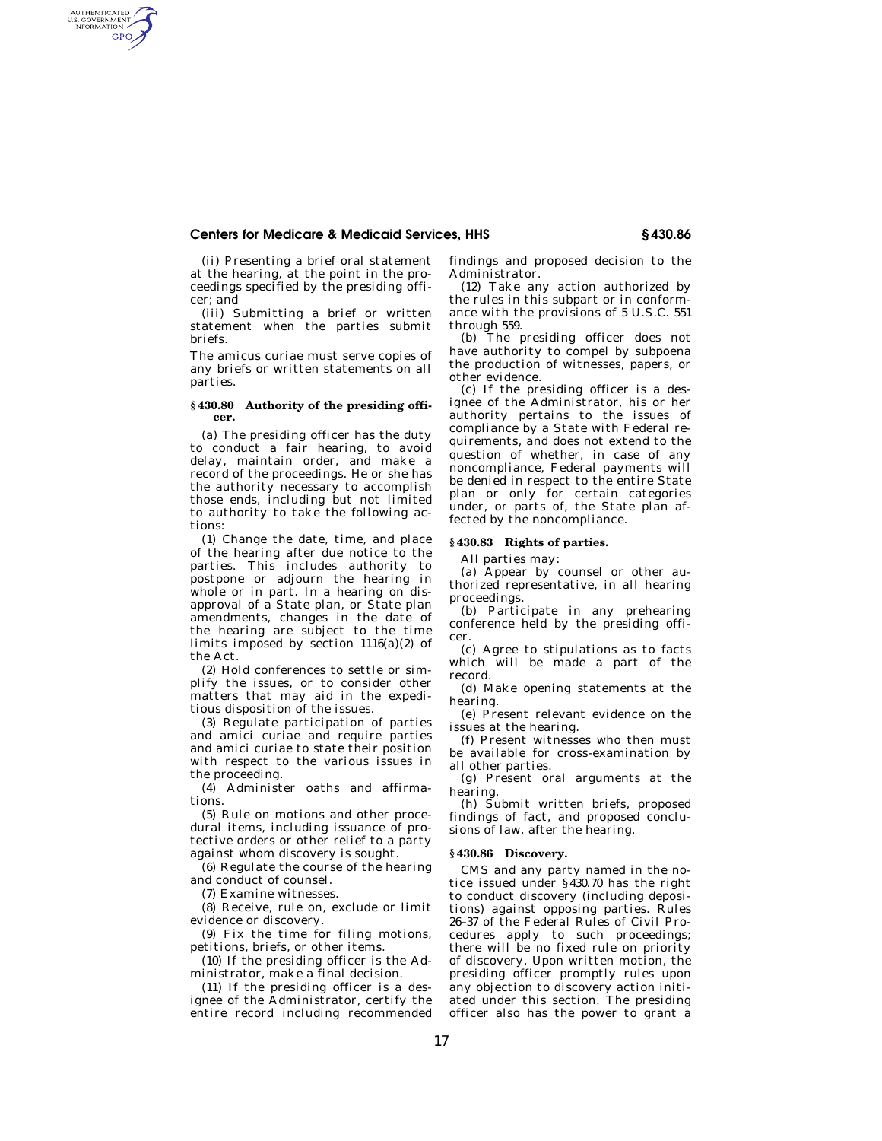## **Centers for Medicare & Medicaid Services, HHS § 430.86**

(ii) Presenting a brief oral statement at the hearing, at the point in the proceedings specified by the presiding officer; and

AUTHENTICATED<br>U.S. GOVERNMENT<br>INFORMATION **GPO** 

> (iii) Submitting a brief or written statement when the parties submit briefs.

> The amicus curiae must serve copies of any briefs or written statements on all parties.

### **§ 430.80 Authority of the presiding officer.**

(a) The presiding officer has the duty to conduct a fair hearing, to avoid delay, maintain order, and make a record of the proceedings. He or she has the authority necessary to accomplish those ends, including but not limited to authority to take the following actions:

(1) Change the date, time, and place of the hearing after due notice to the parties. This includes authority to postpone or adjourn the hearing in whole or in part. In a hearing on disapproval of a State plan, or State plan amendments, changes in the date of the hearing are subject to the time limits imposed by section 1116(a)(2) of the Act.

(2) Hold conferences to settle or simplify the issues, or to consider other matters that may aid in the expeditious disposition of the issues.

(3) Regulate participation of parties and amici curiae and require parties and amici curiae to state their position with respect to the various issues in the proceeding.

(4) Administer oaths and affirmations.

(5) Rule on motions and other procedural items, including issuance of protective orders or other relief to a party against whom discovery is sought.

(6) Regulate the course of the hearing and conduct of counsel.

(7) Examine witnesses.

(8) Receive, rule on, exclude or limit evidence or discovery.

(9) Fix the time for filing motions, petitions, briefs, or other items.

(10) If the presiding officer is the Administrator, make a final decision.

(11) If the presiding officer is a designee of the Administrator, certify the entire record including recommended findings and proposed decision to the Administrator.

(12) Take any action authorized by the rules in this subpart or in conformance with the provisions of 5 U.S.C. 551 through 559.

(b) The presiding officer does not have authority to compel by subpoena the production of witnesses, papers, or other evidence.

(c) If the presiding officer is a designee of the Administrator, his or her authority pertains to the issues of compliance by a State with Federal requirements, and does not extend to the question of whether, in case of any noncompliance, Federal payments will be denied in respect to the entire State plan or only for certain categories under, or parts of, the State plan affected by the noncompliance.

#### **§ 430.83 Rights of parties.**

All parties may:

(a) Appear by counsel or other authorized representative, in all hearing proceedings.

(b) Participate in any prehearing conference held by the presiding officer.

(c) Agree to stipulations as to facts which will be made a part of the record.

(d) Make opening statements at the hearing.

(e) Present relevant evidence on the issues at the hearing.

(f) Present witnesses who then must be available for cross-examination by all other parties.

(g) Present oral arguments at the hearing.

(h) Submit written briefs, proposed findings of fact, and proposed conclusions of law, after the hearing.

#### **§ 430.86 Discovery.**

CMS and any party named in the notice issued under §430.70 has the right to conduct discovery (including depositions) against opposing parties. Rules 26–37 of the Federal Rules of Civil Procedures apply to such proceedings; there will be no fixed rule on priority of discovery. Upon written motion, the presiding officer promptly rules upon any objection to discovery action initiated under this section. The presiding officer also has the power to grant a